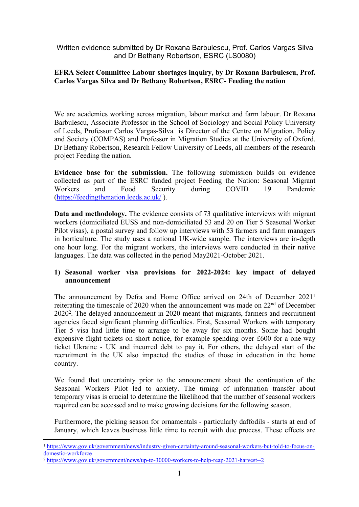Written evidence submitted by Dr Roxana Barbulescu, Prof. Carlos Vargas Silva and Dr Bethany Robertson, ESRC (LS0080)

### **EFRA Select Committee Labour shortages inquiry, by Dr Roxana Barbulescu, Prof. Carlos Vargas Silva and Dr Bethany Robertson, ESRC- Feeding the nation**

We are academics working across migration, labour market and farm labour. Dr Roxana Barbulescu, Associate Professor in the School of Sociology and Social Policy University of Leeds, Professor Carlos Vargas-Silva is Director of the Centre on Migration, Policy and Society (COMPAS) and Professor in Migration Studies at the University of Oxford. Dr Bethany Robertson, Research Fellow University of Leeds, all members of the research project Feeding the nation.

**Evidence base for the submission.** The following submission builds on evidence collected as part of the ESRC funded project Feeding the Nation: Seasonal Migrant Workers and Food Security during COVID 19 Pandemic ([https://feedingthenation.leeds.ac.uk/](about:blank) ).

**Data and methodology.** The evidence consists of 73 qualitative interviews with migrant workers (domiciliated EUSS and non-domiciliated 53 and 20 on Tier 5 Seasonal Worker Pilot visas), a postal survey and follow up interviews with 53 farmers and farm managers in horticulture. The study uses a national UK-wide sample. The interviews are in-depth one hour long. For the migrant workers, the interviews were conducted in their native languages. The data was collected in the period May2021-October 2021.

### **1) Seasonal worker visa provisions for 2022-2024: key impact of delayed announcement**

The announcement by Defra and Home Office arrived on 24th of December 2021<sup>1</sup> reiterating the timescale of 2020 when the announcement was made on 22nd of December 2020<sup>2</sup> . The delayed announcement in 2020 meant that migrants, farmers and recruitment agencies faced significant planning difficulties. First, Seasonal Workers with temporary Tier 5 visa had little time to arrange to be away for six months. Some had bought expensive flight tickets on short notice, for example spending over £600 for a one-way ticket Ukraine - UK and incurred debt to pay it. For others, the delayed start of the recruitment in the UK also impacted the studies of those in education in the home country.

We found that uncertainty prior to the announcement about the continuation of the Seasonal Workers Pilot led to anxiety. The timing of information transfer about temporary visas is crucial to determine the likelihood that the number of seasonal workers required can be accessed and to make growing decisions for the following season.

Furthermore, the picking season for ornamentals - particularly daffodils - starts at end of January, which leaves business little time to recruit with due process. These effects are

<sup>1</sup> [https://www.gov.uk/government/news/industry-given-certainty-around-seasonal-workers-but-told-to-focus-on](https://www.gov.uk/government/news/industry-given-certainty-around-seasonal-workers-but-told-to-focus-on-domestic-workforce)[domestic-workforce](https://www.gov.uk/government/news/industry-given-certainty-around-seasonal-workers-but-told-to-focus-on-domestic-workforce)

<sup>2</sup> <https://www.gov.uk/government/news/up-to-30000-workers-to-help-reap-2021-harvest--2>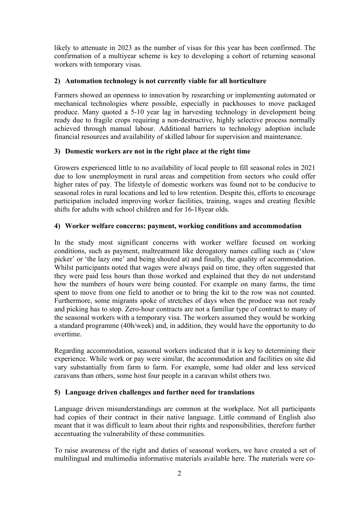likely to attenuate in 2023 as the number of visas for this year has been confirmed. The confirmation of a multiyear scheme is key to developing a cohort of returning seasonal workers with temporary visas.

## **2) Automation technology is not currently viable for all horticulture**

Farmers showed an openness to innovation by researching or implementing automated or mechanical technologies where possible, especially in packhouses to move packaged produce. Many quoted a 5-10 year lag in harvesting technology in development being ready due to fragile crops requiring a non-destructive, highly selective process normally achieved through manual labour. Additional barriers to technology adoption include financial resources and availability of skilled labour for supervision and maintenance.

### **3) Domestic workers are not in the right place at the right time**

Growers experienced little to no availability of local people to fill seasonal roles in 2021 due to low unemployment in rural areas and competition from sectors who could offer higher rates of pay. The lifestyle of domestic workers was found not to be conducive to seasonal roles in rural locations and led to low retention. Despite this, efforts to encourage participation included improving worker facilities, training, wages and creating flexible shifts for adults with school children and for 16-18year olds.

# **4) Worker welfare concerns: payment, working conditions and accommodation**

In the study most significant concerns with worker welfare focused on working conditions, such as payment, maltreatment like derogatory names calling such as ('slow picker' or 'the lazy one' and being shouted at) and finally, the quality of accommodation. Whilst participants noted that wages were always paid on time, they often suggested that they were paid less hours than those worked and explained that they do not understand how the numbers of hours were being counted. For example on many farms, the time spent to move from one field to another or to bring the kit to the row was not counted. Furthermore, some migrants spoke of stretches of days when the produce was not ready and picking has to stop. Zero-hour contracts are not a familiar type of contract to many of the seasonal workers with a temporary visa. The workers assumed they would be working a standard programme (40h/week) and, in addition, they would have the opportunity to do overtime.

Regarding accommodation, seasonal workers indicated that it is key to determining their experience. While work or pay were similar, the accommodation and facilities on site did vary substantially from farm to farm. For example, some had older and less serviced caravans than others, some host four people in a caravan whilst others two.

### **5) Language driven challenges and further need for translations**

Language driven misunderstandings are common at the workplace. Not all participants had copies of their contract in their native language. Little command of English also meant that it was difficult to learn about their rights and responsibilities, therefore further accentuating the vulnerability of these communities.

To raise awareness of the right and duties of seasonal workers, we have created a set of multilingual and multimedia informative materials available here. The materials were co